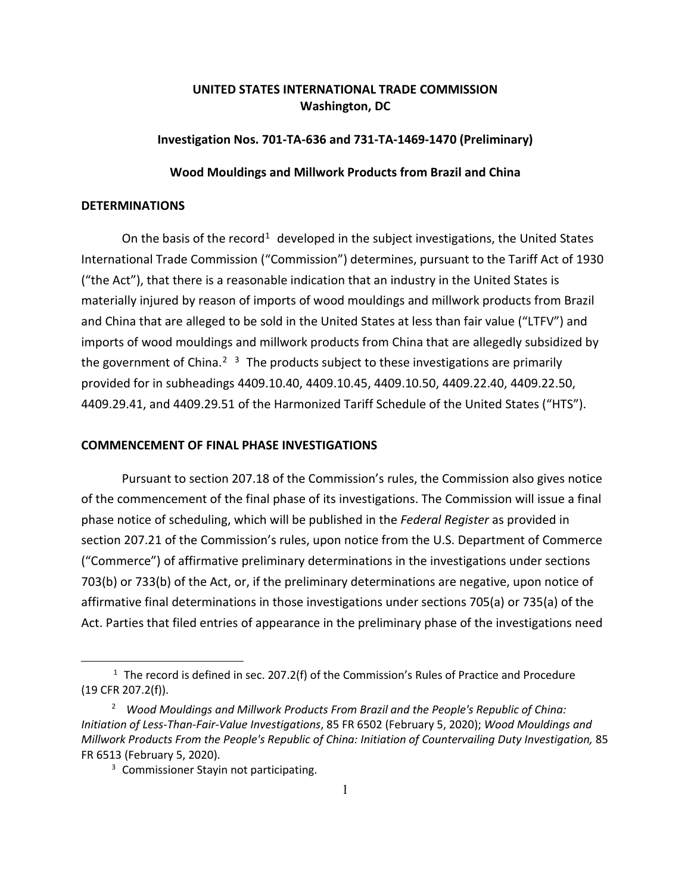# **UNITED STATES INTERNATIONAL TRADE COMMISSION Washington, DC**

### **Investigation Nos. 701-TA-636 and 731-TA-1469-1470 (Preliminary)**

### **Wood Mouldings and Millwork Products from Brazil and China**

## **DETERMINATIONS**

On the basis of the record<sup>[1](#page-0-0)</sup> developed in the subject investigations, the United States International Trade Commission ("Commission") determines, pursuant to the Tariff Act of 1930 ("the Act"), that there is a reasonable indication that an industry in the United States is materially injured by reason of imports of wood mouldings and millwork products from Brazil and China that are alleged to be sold in the United States at less than fair value ("LTFV") and imports of wood mouldings and millwork products from China that are allegedly subsidized by the government of China.<sup>[2](#page-0-1)</sup><sup>[3](#page-0-2)</sup> The products subject to these investigations are primarily provided for in subheadings 4409.10.40, 4409.10.45, 4409.10.50, 4409.22.40, 4409.22.50, 4409.29.41, and 4409.29.51 of the Harmonized Tariff Schedule of the United States ("HTS").

#### **COMMENCEMENT OF FINAL PHASE INVESTIGATIONS**

Pursuant to section 207.18 of the Commission's rules, the Commission also gives notice of the commencement of the final phase of its investigations. The Commission will issue a final phase notice of scheduling, which will be published in the *Federal Register* as provided in section 207.21 of the Commission's rules, upon notice from the U.S. Department of Commerce ("Commerce") of affirmative preliminary determinations in the investigations under sections 703(b) or 733(b) of the Act, or, if the preliminary determinations are negative, upon notice of affirmative final determinations in those investigations under sections 705(a) or 735(a) of the Act. Parties that filed entries of appearance in the preliminary phase of the investigations need

<span id="page-0-0"></span><sup>&</sup>lt;sup>1</sup> The record is defined in sec. 207.2(f) of the Commission's Rules of Practice and Procedure (19 CFR 207.2(f)).

<span id="page-0-2"></span><span id="page-0-1"></span><sup>2</sup> *Wood Mouldings and Millwork Products From Brazil and the People's Republic of China: Initiation of Less-Than-Fair-Value Investigations*, 85 FR 6502 (February 5, 2020); *Wood Mouldings and Millwork Products From the People's Republic of China: Initiation of Countervailing Duty Investigation,* 85 FR 6513 (February 5, 2020).

<sup>&</sup>lt;sup>3</sup> Commissioner Stayin not participating.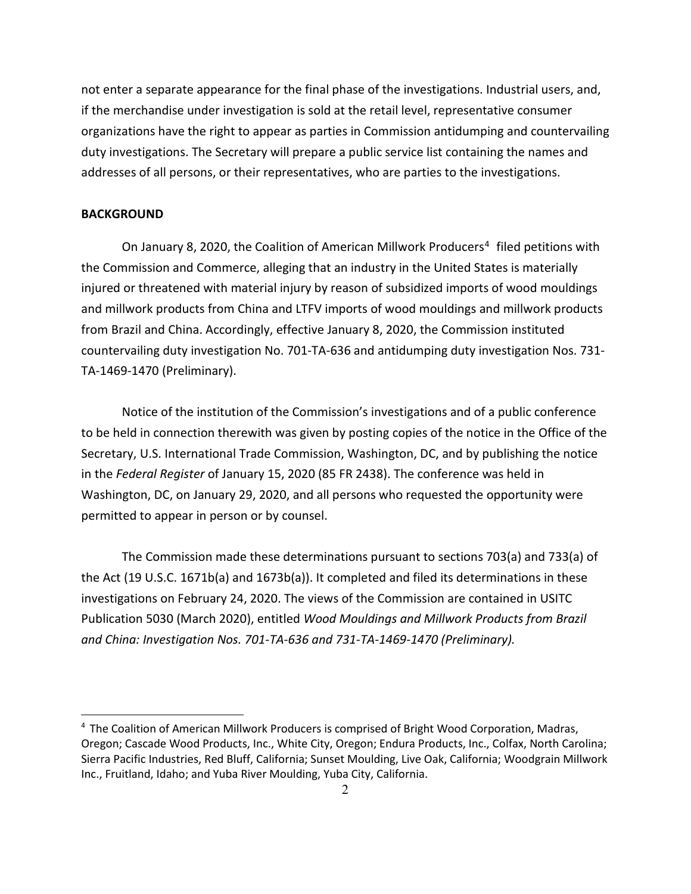not enter a separate appearance for the final phase of the investigations. Industrial users, and, if the merchandise under investigation is sold at the retail level, representative consumer organizations have the right to appear as parties in Commission antidumping and countervailing duty investigations. The Secretary will prepare a public service list containing the names and addresses of all persons, or their representatives, who are parties to the investigations.

### **BACKGROUND**

On January 8, 2020, the Coalition of American Millwork Producers<sup>[4](#page-1-0)</sup> filed petitions with the Commission and Commerce, alleging that an industry in the United States is materially injured or threatened with material injury by reason of subsidized imports of wood mouldings and millwork products from China and LTFV imports of wood mouldings and millwork products from Brazil and China. Accordingly, effective January 8, 2020, the Commission instituted countervailing duty investigation No. 701-TA-636 and antidumping duty investigation Nos. 731- TA-1469-1470 (Preliminary).

Notice of the institution of the Commission's investigations and of a public conference to be held in connection therewith was given by posting copies of the notice in the Office of the Secretary, U.S. International Trade Commission, Washington, DC, and by publishing the notice in the *Federal Register* of January 15, 2020 (85 FR 2438). The conference was held in Washington, DC, on January 29, 2020, and all persons who requested the opportunity were permitted to appear in person or by counsel.

The Commission made these determinations pursuant to sections 703(a) and 733(a) of the Act (19 U.S.C. 1671b(a) and 1673b(a)). It completed and filed its determinations in these investigations on February 24, 2020. The views of the Commission are contained in USITC Publication 5030 (March 2020), entitled *Wood Mouldings and Millwork Products from Brazil and China: Investigation Nos. 701-TA-636 and 731-TA-1469-1470 (Preliminary).*

<span id="page-1-0"></span> $4$  The Coalition of American Millwork Producers is comprised of Bright Wood Corporation, Madras, Oregon; Cascade Wood Products, Inc., White City, Oregon; Endura Products, Inc., Colfax, North Carolina; Sierra Pacific Industries, Red Bluff, California; Sunset Moulding, Live Oak, California; Woodgrain Millwork Inc., Fruitland, Idaho; and Yuba River Moulding, Yuba City, California.